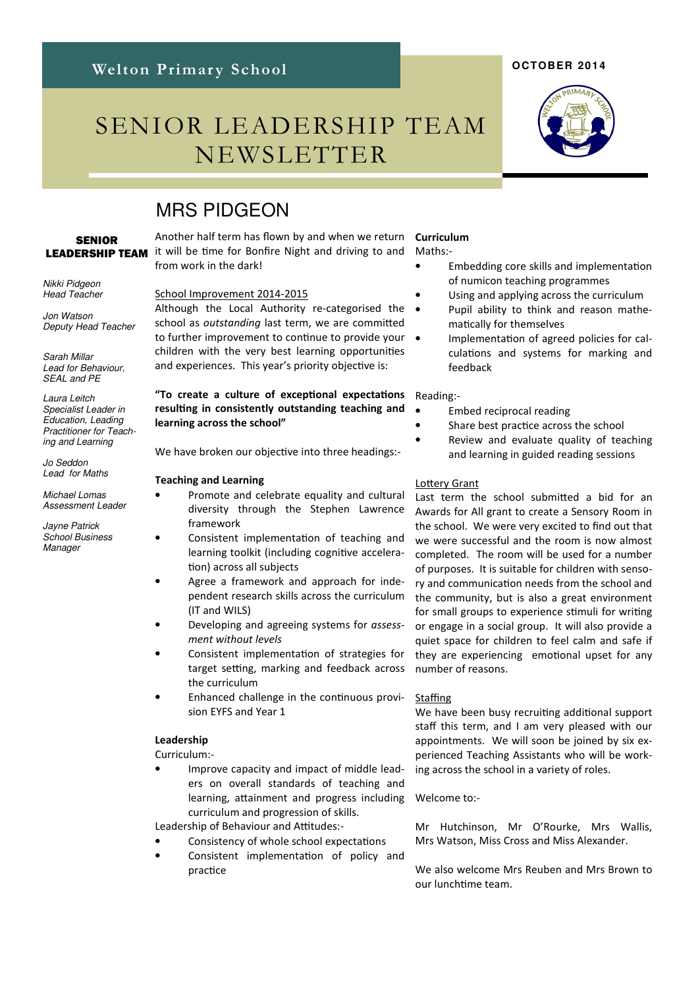# SENIOR LEADERSHIP TEAM NEWSLETTER

## MRS PIDGEON

### **SENIOR** LEADERSHIP TEAM

Nikki Pidgeon Head Teacher

Jon Watson Deputy Head Teacher

Sarah Millar Lead for Behaviour, SEAL and PE

Laura Leitch Specialist Leader in Education, Leading Practitioner for Teaching and Learning

Jo Seddon Lead for Maths

Michael Lomas Assessment Leader

Jayne Patrick School Business Manager

Another half term has flown by and when we return it will be time for Bonfire Night and driving to and from work in the dark!

#### School Improvement 2014-2015

Although the Local Authority re-categorised the school as outstanding last term, we are committed to further improvement to continue to provide your  $\bullet$ children with the very best learning opportunities and experiences. This year's priority objective is:

### "To create a culture of exceptional expectations resulting in consistently outstanding teaching and learning across the school"

We have broken our objective into three headings:-

#### Teaching and Learning

- Promote and celebrate equality and cultural diversity through the Stephen Lawrence framework
- Consistent implementation of teaching and learning toolkit (including cognitive acceleration) across all subjects
- Agree a framework and approach for independent research skills across the curriculum (IT and WILS)
- Developing and agreeing systems for assessment without levels
- Consistent implementation of strategies for target setting, marking and feedback across the curriculum
- Enhanced challenge in the continuous provision EYFS and Year 1

#### Leadership

Curriculum:-

• Improve capacity and impact of middle leaders on overall standards of teaching and learning, attainment and progress including curriculum and progression of skills.

Leadership of Behaviour and Attitudes:-

- Consistency of whole school expectations
- Consistent implementation of policy and practice

## Curriculum

Maths:-

- Embedding core skills and implementation of numicon teaching programmes
- Using and applying across the curriculum
- Pupil ability to think and reason mathematically for themselves
- Implementation of agreed policies for calculations and systems for marking and feedback

### Reading:-

- Embed reciprocal reading
- Share best practice across the school
- Review and evaluate quality of teaching and learning in guided reading sessions

#### Lottery Grant

Last term the school submitted a bid for an Awards for All grant to create a Sensory Room in the school. We were very excited to find out that we were successful and the room is now almost completed. The room will be used for a number of purposes. It is suitable for children with sensory and communication needs from the school and the community, but is also a great environment for small groups to experience stimuli for writing or engage in a social group. It will also provide a quiet space for children to feel calm and safe if they are experiencing emotional upset for any number of reasons.

#### Staffing

We have been busy recruiting additional support staff this term, and I am very pleased with our appointments. We will soon be joined by six experienced Teaching Assistants who will be working across the school in a variety of roles.

#### Welcome to:-

Mr Hutchinson, Mr O'Rourke, Mrs Wallis, Mrs Watson, Miss Cross and Miss Alexander.

We also welcome Mrs Reuben and Mrs Brown to our lunchme team.



**OCTOBER 2014**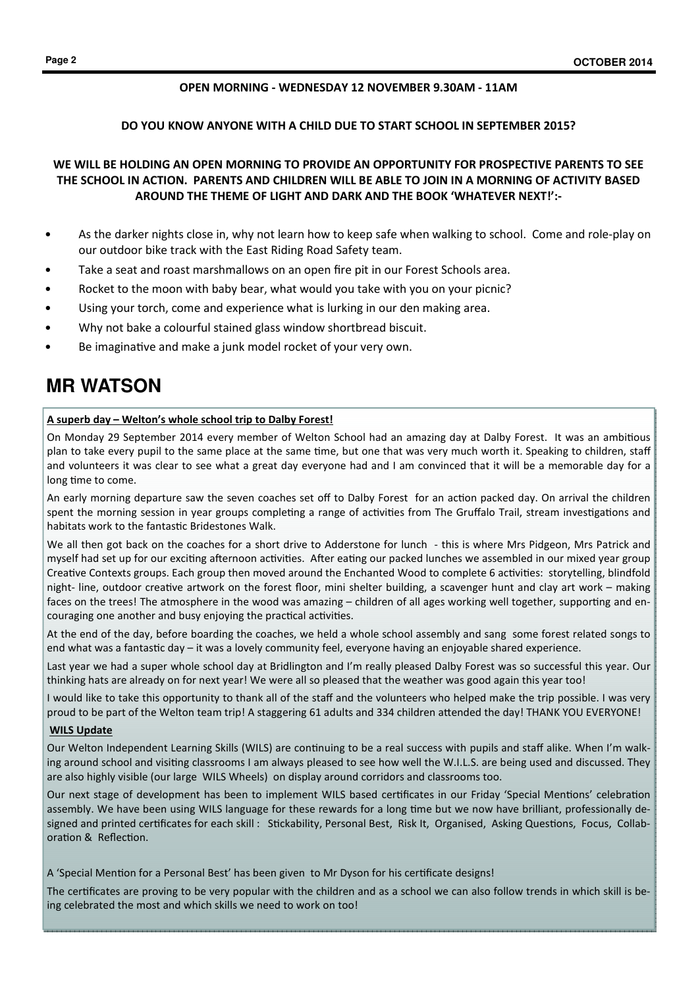### OPEN MORNING - WEDNESDAY 12 NOVEMBER 9.30AM - 11AM

### DO YOU KNOW ANYONE WITH A CHILD DUE TO START SCHOOL IN SEPTEMBER 2015?

## WE WILL BE HOLDING AN OPEN MORNING TO PROVIDE AN OPPORTUNITY FOR PROSPECTIVE PARENTS TO SEE THE SCHOOL IN ACTION. PARENTS AND CHILDREN WILL BE ABLE TO JOIN IN A MORNING OF ACTIVITY BASED AROUND THE THEME OF LIGHT AND DARK AND THE BOOK 'WHATEVER NEXT!':-

- As the darker nights close in, why not learn how to keep safe when walking to school. Come and role-play on our outdoor bike track with the East Riding Road Safety team.
- Take a seat and roast marshmallows on an open fire pit in our Forest Schools area.
- Rocket to the moon with baby bear, what would you take with you on your picnic?
- Using your torch, come and experience what is lurking in our den making area.
- Why not bake a colourful stained glass window shortbread biscuit.
- Be imaginative and make a junk model rocket of your very own.

## **MR WATSON**

#### A superb day – Welton's whole school trip to Dalby Forest!

On Monday 29 September 2014 every member of Welton School had an amazing day at Dalby Forest. It was an ambitious plan to take every pupil to the same place at the same time, but one that was very much worth it. Speaking to children, staff and volunteers it was clear to see what a great day everyone had and I am convinced that it will be a memorable day for a long time to come.

An early morning departure saw the seven coaches set off to Dalby Forest for an action packed day. On arrival the children spent the morning session in year groups completing a range of activities from The Gruffalo Trail, stream investigations and habitats work to the fantastic Bridestones Walk.

We all then got back on the coaches for a short drive to Adderstone for lunch - this is where Mrs Pidgeon, Mrs Patrick and myself had set up for our exciting afternoon activities. After eating our packed lunches we assembled in our mixed year group Creative Contexts groups. Each group then moved around the Enchanted Wood to complete 6 activities: storytelling, blindfold night- line, outdoor creative artwork on the forest floor, mini shelter building, a scavenger hunt and clay art work – making faces on the trees! The atmosphere in the wood was amazing - children of all ages working well together, supporting and encouraging one another and busy enjoying the practical activities.

At the end of the day, before boarding the coaches, we held a whole school assembly and sang some forest related songs to end what was a fantastic day – it was a lovely community feel, everyone having an enjoyable shared experience.

Last year we had a super whole school day at Bridlington and I'm really pleased Dalby Forest was so successful this year. Our thinking hats are already on for next year! We were all so pleased that the weather was good again this year too!

I would like to take this opportunity to thank all of the staff and the volunteers who helped make the trip possible. I was very proud to be part of the Welton team trip! A staggering 61 adults and 334 children attended the day! THANK YOU EVERYONE!

#### WILS Update

Our Welton Independent Learning Skills (WILS) are continuing to be a real success with pupils and staff alike. When I'm walking around school and visiting classrooms I am always pleased to see how well the W.I.L.S. are being used and discussed. They are also highly visible (our large WILS Wheels) on display around corridors and classrooms too.

Our next stage of development has been to implement WILS based certificates in our Friday 'Special Mentions' celebration assembly. We have been using WILS language for these rewards for a long time but we now have brilliant, professionally designed and printed certificates for each skill : Stickability, Personal Best, Risk It, Organised, Asking Questions, Focus, Collaboration & Reflection.

A 'Special Mention for a Personal Best' has been given to Mr Dyson for his certificate designs!

The certificates are proving to be very popular with the children and as a school we can also follow trends in which skill is being celebrated the most and which skills we need to work on too!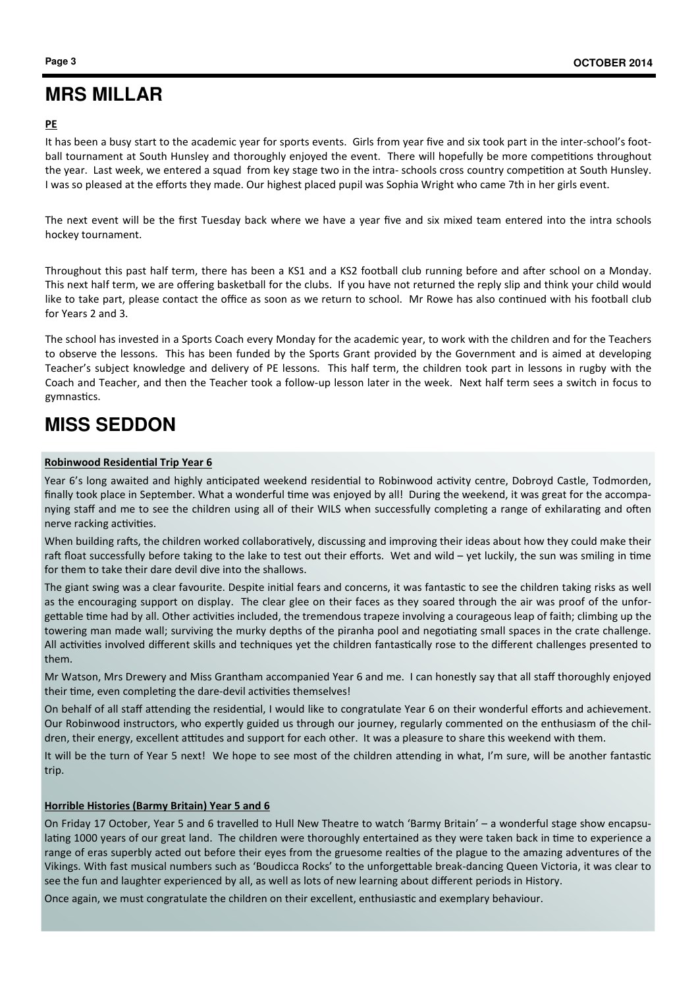## **MRS MILLAR**

## PE

It has been a busy start to the academic year for sports events. Girls from year five and six took part in the inter-school's football tournament at South Hunsley and thoroughly enjoyed the event. There will hopefully be more competitions throughout the year. Last week, we entered a squad from key stage two in the intra-schools cross country competition at South Hunsley. I was so pleased at the efforts they made. Our highest placed pupil was Sophia Wright who came 7th in her girls event.

The next event will be the first Tuesday back where we have a year five and six mixed team entered into the intra schools hockey tournament.

Throughout this past half term, there has been a KS1 and a KS2 football club running before and after school on a Monday. This next half term, we are offering basketball for the clubs. If you have not returned the reply slip and think your child would like to take part, please contact the office as soon as we return to school. Mr Rowe has also continued with his football club for Years 2 and 3.

The school has invested in a Sports Coach every Monday for the academic year, to work with the children and for the Teachers to observe the lessons. This has been funded by the Sports Grant provided by the Government and is aimed at developing Teacher's subject knowledge and delivery of PE lessons. This half term, the children took part in lessons in rugby with the Coach and Teacher, and then the Teacher took a follow-up lesson later in the week. Next half term sees a switch in focus to gymnastics.

## **MISS SEDDON**

### Robinwood Residential Trip Year 6

Year 6's long awaited and highly anticipated weekend residential to Robinwood activity centre, Dobroyd Castle, Todmorden, finally took place in September. What a wonderful time was enjoyed by all! During the weekend, it was great for the accompanying staff and me to see the children using all of their WILS when successfully completing a range of exhilarating and often nerve racking activities.

When building rafts, the children worked collaboratively, discussing and improving their ideas about how they could make their raft float successfully before taking to the lake to test out their efforts. Wet and wild – yet luckily, the sun was smiling in time for them to take their dare devil dive into the shallows.

The giant swing was a clear favourite. Despite initial fears and concerns, it was fantastic to see the children taking risks as well as the encouraging support on display. The clear glee on their faces as they soared through the air was proof of the unforgettable time had by all. Other activities included, the tremendous trapeze involving a courageous leap of faith; climbing up the towering man made wall; surviving the murky depths of the piranha pool and negotiating small spaces in the crate challenge. All activities involved different skills and techniques yet the children fantastically rose to the different challenges presented to them.

Mr Watson, Mrs Drewery and Miss Grantham accompanied Year 6 and me. I can honestly say that all staff thoroughly enjoyed their time, even completing the dare-devil activities themselves!

On behalf of all staff attending the residential, I would like to congratulate Year 6 on their wonderful efforts and achievement. Our Robinwood instructors, who expertly guided us through our journey, regularly commented on the enthusiasm of the children, their energy, excellent attitudes and support for each other. It was a pleasure to share this weekend with them.

It will be the turn of Year 5 next! We hope to see most of the children attending in what, I'm sure, will be another fantastic trip.

## Horrible Histories (Barmy Britain) Year 5 and 6

On Friday 17 October, Year 5 and 6 travelled to Hull New Theatre to watch 'Barmy Britain' – a wonderful stage show encapsulating 1000 years of our great land. The children were thoroughly entertained as they were taken back in time to experience a range of eras superbly acted out before their eyes from the gruesome realties of the plague to the amazing adventures of the Vikings. With fast musical numbers such as 'Boudicca Rocks' to the unforgettable break-dancing Queen Victoria, it was clear to see the fun and laughter experienced by all, as well as lots of new learning about different periods in History.

Once again, we must congratulate the children on their excellent, enthusiastic and exemplary behaviour.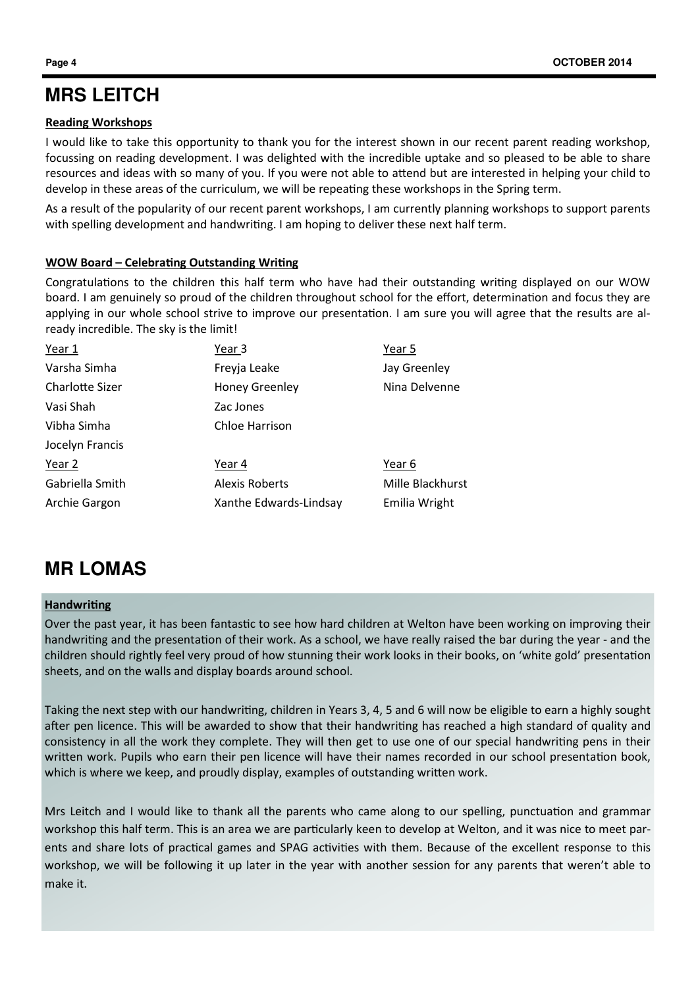## **MRS LEITCH**

## Reading Workshops

I would like to take this opportunity to thank you for the interest shown in our recent parent reading workshop, focussing on reading development. I was delighted with the incredible uptake and so pleased to be able to share resources and ideas with so many of you. If you were not able to attend but are interested in helping your child to develop in these areas of the curriculum, we will be repeating these workshops in the Spring term.

As a result of the popularity of our recent parent workshops, I am currently planning workshops to support parents with spelling development and handwriting. I am hoping to deliver these next half term.

## WOW Board – Celebrating Outstanding Writing

Congratulations to the children this half term who have had their outstanding writing displayed on our WOW board. I am genuinely so proud of the children throughout school for the effort, determination and focus they are applying in our whole school strive to improve our presentation. I am sure you will agree that the results are already incredible. The sky is the limit!

| Year 1                 | Year 3                 | Year 5           |
|------------------------|------------------------|------------------|
| Varsha Simha           | Freyja Leake           | Jay Greenley     |
| <b>Charlotte Sizer</b> | <b>Honey Greenley</b>  | Nina Delvenne    |
| Vasi Shah              | Zac Jones              |                  |
| Vibha Simha            | Chloe Harrison         |                  |
| Jocelyn Francis        |                        |                  |
| Year 2                 | Year 4                 | Year 6           |
| Gabriella Smith        | <b>Alexis Roberts</b>  | Mille Blackhurst |
| Archie Gargon          | Xanthe Edwards-Lindsay | Emilia Wright    |
|                        |                        |                  |

## **MR LOMAS**

## Handwriting

Over the past year, it has been fantastic to see how hard children at Welton have been working on improving their handwriting and the presentation of their work. As a school, we have really raised the bar during the year - and the children should rightly feel very proud of how stunning their work looks in their books, on 'white gold' presentation sheets, and on the walls and display boards around school.

Taking the next step with our handwriting, children in Years 3, 4, 5 and 6 will now be eligible to earn a highly sought after pen licence. This will be awarded to show that their handwriting has reached a high standard of quality and consistency in all the work they complete. They will then get to use one of our special handwriting pens in their written work. Pupils who earn their pen licence will have their names recorded in our school presentation book, which is where we keep, and proudly display, examples of outstanding written work.

Mrs Leitch and I would like to thank all the parents who came along to our spelling, punctuation and grammar workshop this half term. This is an area we are particularly keen to develop at Welton, and it was nice to meet parents and share lots of practical games and SPAG activities with them. Because of the excellent response to this workshop, we will be following it up later in the year with another session for any parents that weren't able to make it.